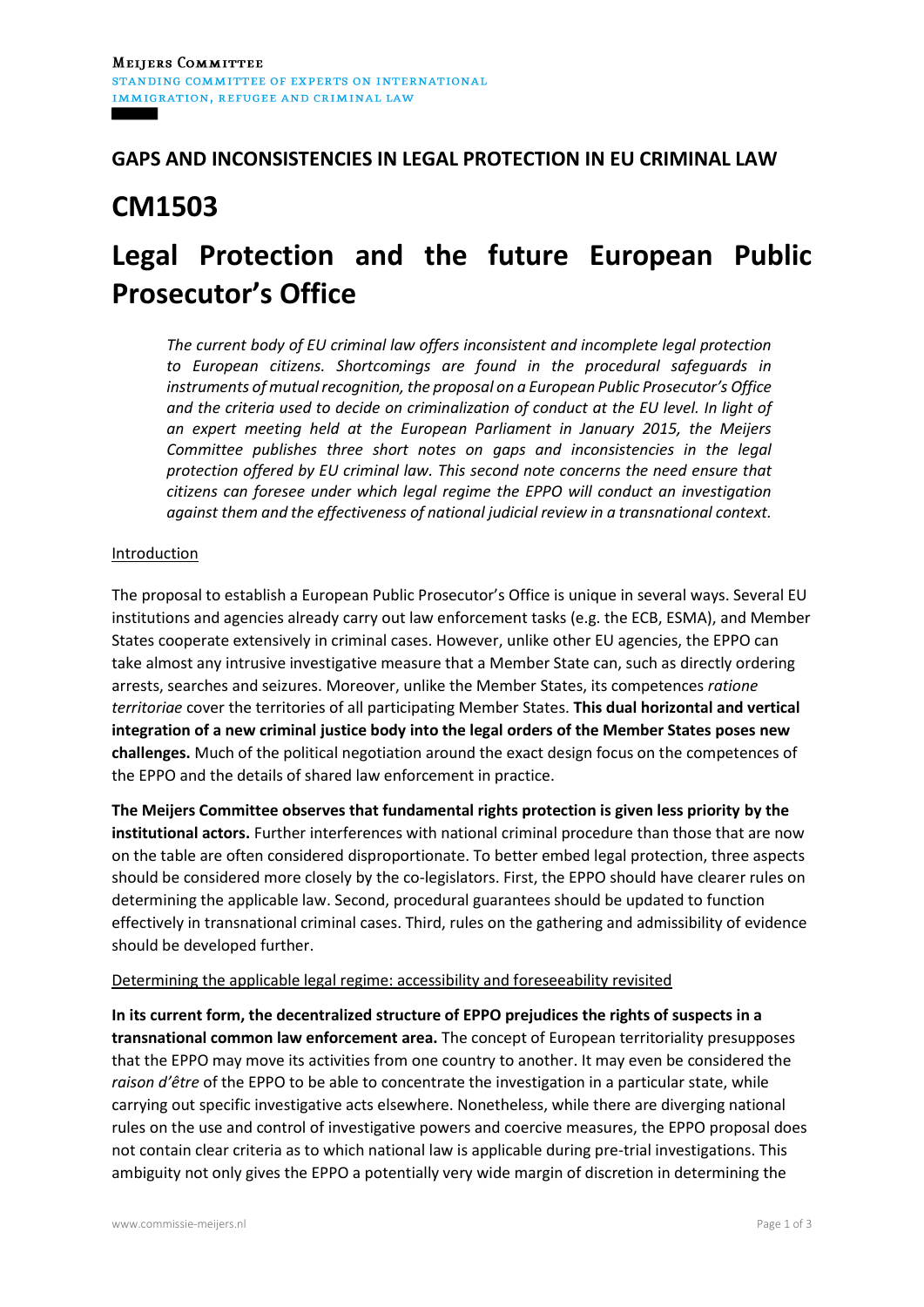### **GAPS AND INCONSISTENCIES IN LEGAL PROTECTION IN EU CRIMINAL LAW**

## **CM1503**

# **Legal Protection and the future European Public Prosecutor's Office**

*The current body of EU criminal law offers inconsistent and incomplete legal protection to European citizens. Shortcomings are found in the procedural safeguards in instruments of mutual recognition, the proposal on a European Public Prosecutor's Office and the criteria used to decide on criminalization of conduct at the EU level. In light of an expert meeting held at the European Parliament in January 2015, the Meijers Committee publishes three short notes on gaps and inconsistencies in the legal protection offered by EU criminal law. This second note concerns the need ensure that citizens can foresee under which legal regime the EPPO will conduct an investigation against them and the effectiveness of national judicial review in a transnational context.* 

#### Introduction

The proposal to establish a European Public Prosecutor's Office is unique in several ways. Several EU institutions and agencies already carry out law enforcement tasks (e.g. the ECB, ESMA), and Member States cooperate extensively in criminal cases. However, unlike other EU agencies, the EPPO can take almost any intrusive investigative measure that a Member State can, such as directly ordering arrests, searches and seizures. Moreover, unlike the Member States, its competences *ratione territoriae* cover the territories of all participating Member States. **This dual horizontal and vertical integration of a new criminal justice body into the legal orders of the Member States poses new challenges.** Much of the political negotiation around the exact design focus on the competences of the EPPO and the details of shared law enforcement in practice.

**The Meijers Committee observes that fundamental rights protection is given less priority by the institutional actors.** Further interferences with national criminal procedure than those that are now on the table are often considered disproportionate. To better embed legal protection, three aspects should be considered more closely by the co-legislators. First, the EPPO should have clearer rules on determining the applicable law. Second, procedural guarantees should be updated to function effectively in transnational criminal cases. Third, rules on the gathering and admissibility of evidence should be developed further.

#### Determining the applicable legal regime: accessibility and foreseeability revisited

**In its current form, the decentralized structure of EPPO prejudices the rights of suspects in a transnational common law enforcement area.** The concept of European territoriality presupposes that the EPPO may move its activities from one country to another. It may even be considered the *raison d'être* of the EPPO to be able to concentrate the investigation in a particular state, while carrying out specific investigative acts elsewhere. Nonetheless, while there are diverging national rules on the use and control of investigative powers and coercive measures, the EPPO proposal does not contain clear criteria as to which national law is applicable during pre-trial investigations. This ambiguity not only gives the EPPO a potentially very wide margin of discretion in determining the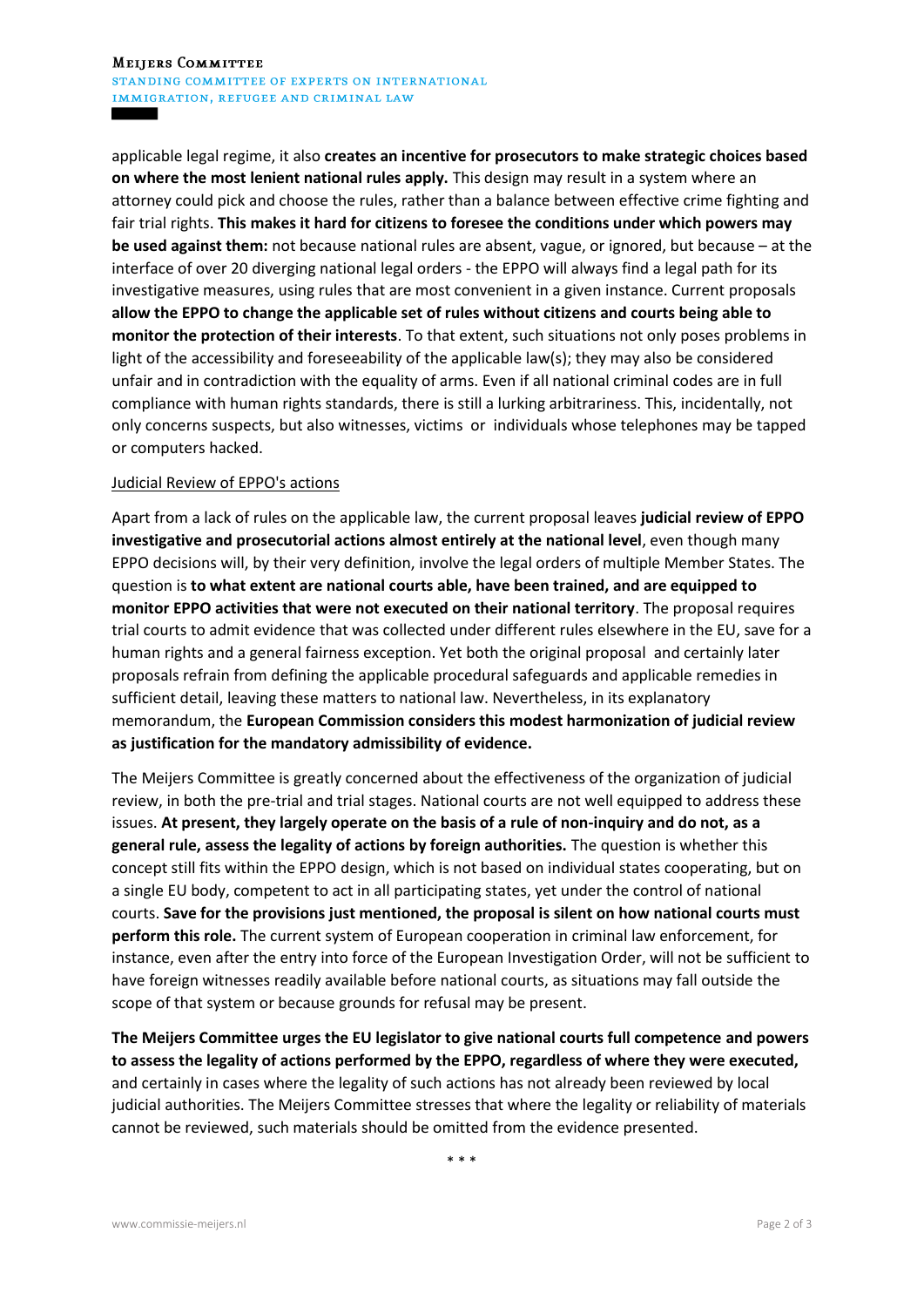applicable legal regime, it also **creates an incentive for prosecutors to make strategic choices based on where the most lenient national rules apply.** This design may result in a system where an attorney could pick and choose the rules, rather than a balance between effective crime fighting and fair trial rights. **This makes it hard for citizens to foresee the conditions under which powers may be used against them:** not because national rules are absent, vague, or ignored, but because – at the interface of over 20 diverging national legal orders - the EPPO will always find a legal path for its investigative measures, using rules that are most convenient in a given instance. Current proposals **allow the EPPO to change the applicable set of rules without citizens and courts being able to monitor the protection of their interests**. To that extent, such situations not only poses problems in light of the accessibility and foreseeability of the applicable law(s); they may also be considered unfair and in contradiction with the equality of arms. Even if all national criminal codes are in full compliance with human rights standards, there is still a lurking arbitrariness. This, incidentally, not only concerns suspects, but also witnesses, victims or individuals whose telephones may be tapped or computers hacked.

#### Judicial Review of EPPO's actions

Apart from a lack of rules on the applicable law, the current proposal leaves **judicial review of EPPO investigative and prosecutorial actions almost entirely at the national level**, even though many EPPO decisions will, by their very definition, involve the legal orders of multiple Member States. The question is **to what extent are national courts able, have been trained, and are equipped to monitor EPPO activities that were not executed on their national territory**. The proposal requires trial courts to admit evidence that was collected under different rules elsewhere in the EU, save for a human rights and a general fairness exception. Yet both the original proposal and certainly later proposals refrain from defining the applicable procedural safeguards and applicable remedies in sufficient detail, leaving these matters to national law. Nevertheless, in its explanatory memorandum, the **European Commission considers this modest harmonization of judicial review as justification for the mandatory admissibility of evidence.**

The Meijers Committee is greatly concerned about the effectiveness of the organization of judicial review, in both the pre-trial and trial stages. National courts are not well equipped to address these issues. **At present, they largely operate on the basis of a rule of non-inquiry and do not, as a general rule, assess the legality of actions by foreign authorities.** The question is whether this concept still fits within the EPPO design, which is not based on individual states cooperating, but on a single EU body, competent to act in all participating states, yet under the control of national courts. **Save for the provisions just mentioned, the proposal is silent on how national courts must perform this role.** The current system of European cooperation in criminal law enforcement, for instance, even after the entry into force of the European Investigation Order, will not be sufficient to have foreign witnesses readily available before national courts, as situations may fall outside the scope of that system or because grounds for refusal may be present.

**The Meijers Committee urges the EU legislator to give national courts full competence and powers to assess the legality of actions performed by the EPPO, regardless of where they were executed,** and certainly in cases where the legality of such actions has not already been reviewed by local judicial authorities. The Meijers Committee stresses that where the legality or reliability of materials cannot be reviewed, such materials should be omitted from the evidence presented.

\* \* \*